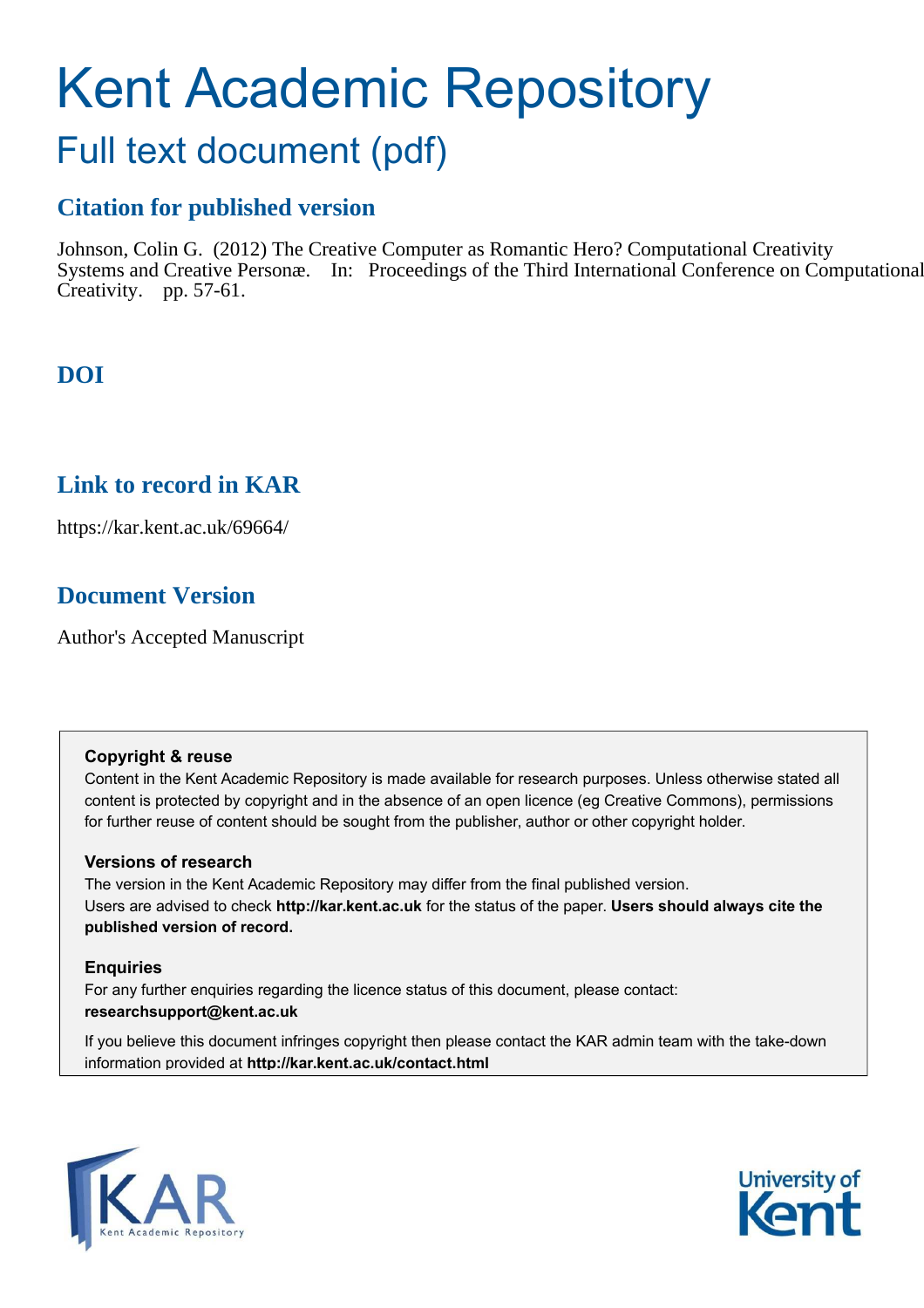# Kent Academic Repository

# Full text document (pdf)

# **Citation for published version**

Johnson, Colin G. (2012) The Creative Computer as Romantic Hero? Computational Creativity Systems and Creative Personæ. In: Proceedings of the Third International Conference on Computational Creativity. pp. 57-61.

# **DOI**

# **Link to record in KAR**

https://kar.kent.ac.uk/69664/

# **Document Version**

Author's Accepted Manuscript

# **Copyright & reuse**

Content in the Kent Academic Repository is made available for research purposes. Unless otherwise stated all content is protected by copyright and in the absence of an open licence (eg Creative Commons), permissions for further reuse of content should be sought from the publisher, author or other copyright holder.

# **Versions of research**

The version in the Kent Academic Repository may differ from the final published version. Users are advised to check **http://kar.kent.ac.uk** for the status of the paper. **Users should always cite the published version of record.**

# **Enquiries**

For any further enquiries regarding the licence status of this document, please contact: **researchsupport@kent.ac.uk**

If you believe this document infringes copyright then please contact the KAR admin team with the take-down information provided at **http://kar.kent.ac.uk/contact.html**



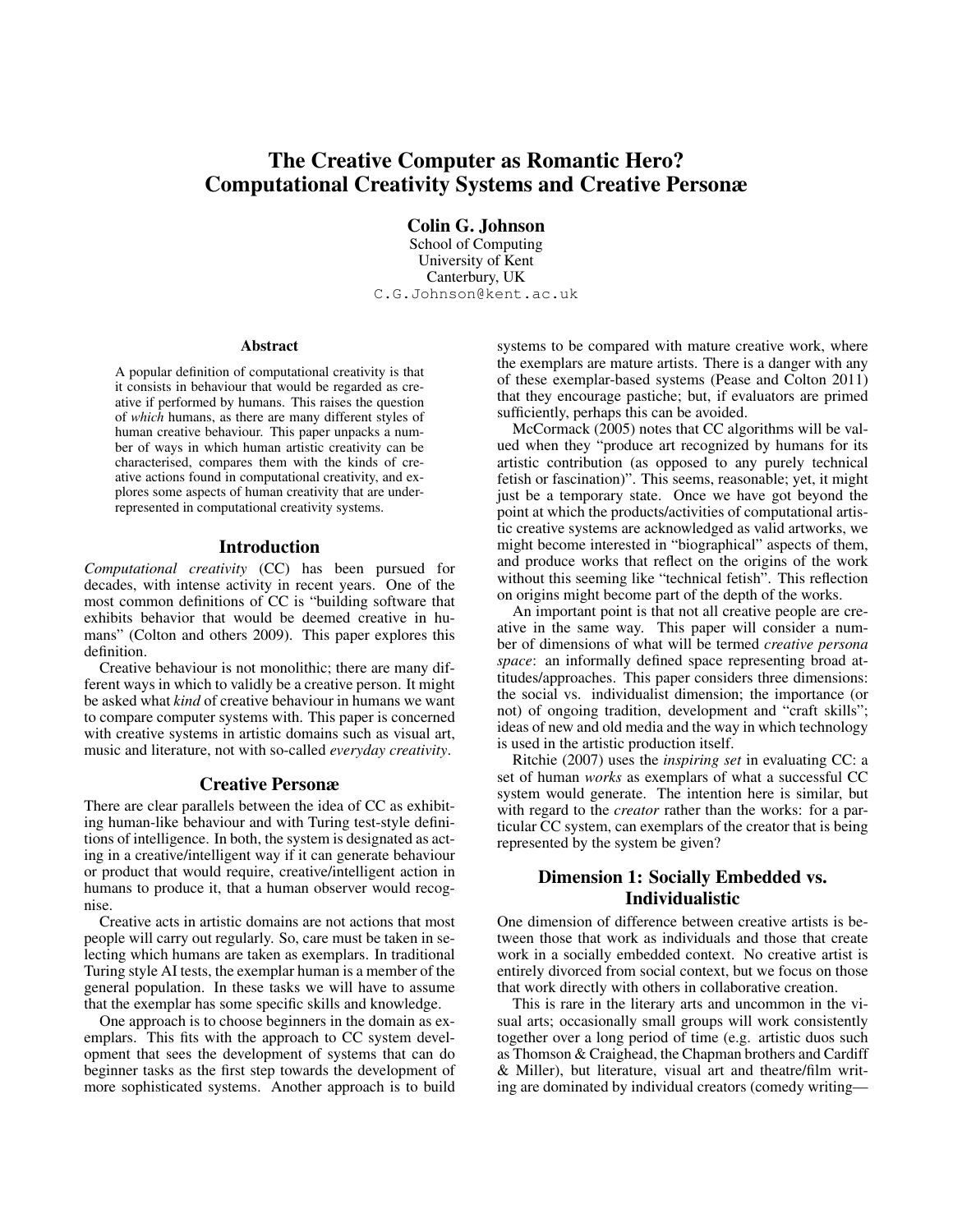# The Creative Computer as Romantic Hero? Computational Creativity Systems and Creative Personæ

Colin G. Johnson

School of Computing University of Kent Canterbury, UK C.G.Johnson@kent.ac.uk

#### Abstract

A popular definition of computational creativity is that it consists in behaviour that would be regarded as creative if performed by humans. This raises the question of *which* humans, as there are many different styles of human creative behaviour. This paper unpacks a number of ways in which human artistic creativity can be characterised, compares them with the kinds of creative actions found in computational creativity, and explores some aspects of human creativity that are underrepresented in computational creativity systems.

#### Introduction

*Computational creativity* (CC) has been pursued for decades, with intense activity in recent years. One of the most common definitions of CC is "building software that exhibits behavior that would be deemed creative in humans" (Colton and others 2009). This paper explores this definition.

Creative behaviour is not monolithic; there are many different ways in which to validly be a creative person. It might be asked what *kind* of creative behaviour in humans we want to compare computer systems with. This paper is concerned with creative systems in artistic domains such as visual art, music and literature, not with so-called *everyday creativity*.

#### Creative Personæ

There are clear parallels between the idea of CC as exhibiting human-like behaviour and with Turing test-style definitions of intelligence. In both, the system is designated as acting in a creative/intelligent way if it can generate behaviour or product that would require, creative/intelligent action in humans to produce it, that a human observer would recognise.

Creative acts in artistic domains are not actions that most people will carry out regularly. So, care must be taken in selecting which humans are taken as exemplars. In traditional Turing style AI tests, the exemplar human is a member of the general population. In these tasks we will have to assume that the exemplar has some specific skills and knowledge.

One approach is to choose beginners in the domain as exemplars. This fits with the approach to CC system development that sees the development of systems that can do beginner tasks as the first step towards the development of more sophisticated systems. Another approach is to build systems to be compared with mature creative work, where the exemplars are mature artists. There is a danger with any of these exemplar-based systems (Pease and Colton 2011) that they encourage pastiche; but, if evaluators are primed sufficiently, perhaps this can be avoided.

McCormack (2005) notes that CC algorithms will be valued when they "produce art recognized by humans for its artistic contribution (as opposed to any purely technical fetish or fascination)". This seems, reasonable; yet, it might just be a temporary state. Once we have got beyond the point at which the products/activities of computational artistic creative systems are acknowledged as valid artworks, we might become interested in "biographical" aspects of them, and produce works that reflect on the origins of the work without this seeming like "technical fetish". This reflection on origins might become part of the depth of the works.

An important point is that not all creative people are creative in the same way. This paper will consider a number of dimensions of what will be termed *creative persona space*: an informally defined space representing broad attitudes/approaches. This paper considers three dimensions: the social vs. individualist dimension; the importance (or not) of ongoing tradition, development and "craft skills"; ideas of new and old media and the way in which technology is used in the artistic production itself.

Ritchie (2007) uses the *inspiring set* in evaluating CC: a set of human *works* as exemplars of what a successful CC system would generate. The intention here is similar, but with regard to the *creator* rather than the works: for a particular CC system, can exemplars of the creator that is being represented by the system be given?

#### Dimension 1: Socially Embedded vs. Individualistic

One dimension of difference between creative artists is between those that work as individuals and those that create work in a socially embedded context. No creative artist is entirely divorced from social context, but we focus on those that work directly with others in collaborative creation.

This is rare in the literary arts and uncommon in the visual arts; occasionally small groups will work consistently together over a long period of time (e.g. artistic duos such as Thomson & Craighead, the Chapman brothers and Cardiff & Miller), but literature, visual art and theatre/film writing are dominated by individual creators (comedy writing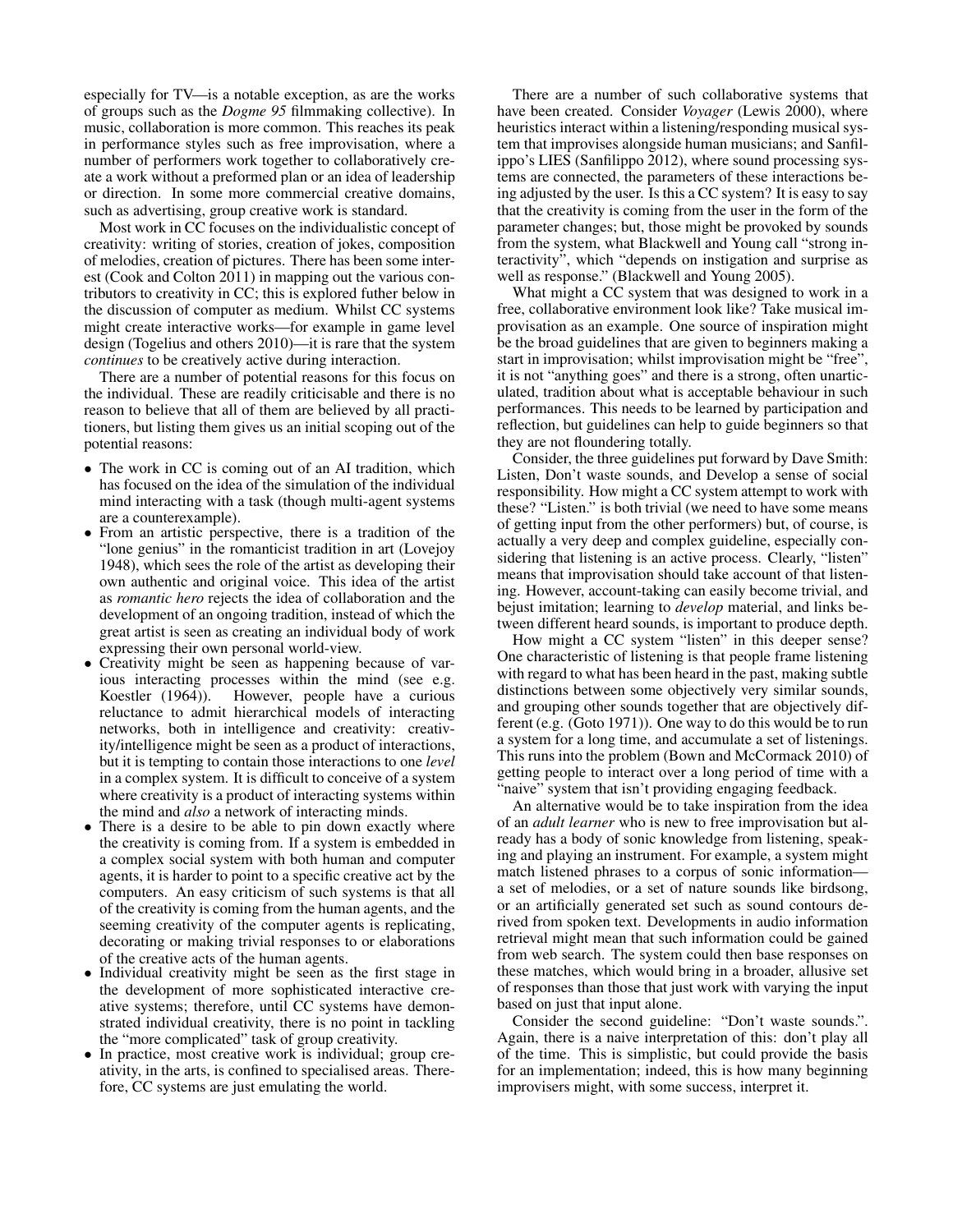especially for TV—is a notable exception, as are the works of groups such as the *Dogme 95* filmmaking collective). In music, collaboration is more common. This reaches its peak in performance styles such as free improvisation, where a number of performers work together to collaboratively create a work without a preformed plan or an idea of leadership or direction. In some more commercial creative domains, such as advertising, group creative work is standard.

Most work in CC focuses on the individualistic concept of creativity: writing of stories, creation of jokes, composition of melodies, creation of pictures. There has been some interest (Cook and Colton 2011) in mapping out the various contributors to creativity in CC; this is explored futher below in the discussion of computer as medium. Whilst CC systems might create interactive works—for example in game level design (Togelius and others 2010)—it is rare that the system *continues* to be creatively active during interaction.

There are a number of potential reasons for this focus on the individual. These are readily criticisable and there is no reason to believe that all of them are believed by all practitioners, but listing them gives us an initial scoping out of the potential reasons:

- The work in CC is coming out of an AI tradition, which has focused on the idea of the simulation of the individual mind interacting with a task (though multi-agent systems are a counterexample).
- From an artistic perspective, there is a tradition of the "lone genius" in the romanticist tradition in art (Lovejoy 1948), which sees the role of the artist as developing their own authentic and original voice. This idea of the artist as *romantic hero* rejects the idea of collaboration and the development of an ongoing tradition, instead of which the great artist is seen as creating an individual body of work expressing their own personal world-view.
- Creativity might be seen as happening because of various interacting processes within the mind (see e.g. Koestler (1964)). However, people have a curious reluctance to admit hierarchical models of interacting networks, both in intelligence and creativity: creativity/intelligence might be seen as a product of interactions, but it is tempting to contain those interactions to one *level* in a complex system. It is difficult to conceive of a system where creativity is a product of interacting systems within the mind and *also* a network of interacting minds.
- There is a desire to be able to pin down exactly where the creativity is coming from. If a system is embedded in a complex social system with both human and computer agents, it is harder to point to a specific creative act by the computers. An easy criticism of such systems is that all of the creativity is coming from the human agents, and the seeming creativity of the computer agents is replicating, decorating or making trivial responses to or elaborations of the creative acts of the human agents.
- Individual creativity might be seen as the first stage in the development of more sophisticated interactive creative systems; therefore, until CC systems have demonstrated individual creativity, there is no point in tackling the "more complicated" task of group creativity.
- In practice, most creative work is individual; group creativity, in the arts, is confined to specialised areas. Therefore, CC systems are just emulating the world.

There are a number of such collaborative systems that have been created. Consider *Voyager* (Lewis 2000), where heuristics interact within a listening/responding musical system that improvises alongside human musicians; and Sanfilippo's LIES (Sanfilippo 2012), where sound processing systems are connected, the parameters of these interactions being adjusted by the user. Is this a CC system? It is easy to say that the creativity is coming from the user in the form of the parameter changes; but, those might be provoked by sounds from the system, what Blackwell and Young call "strong interactivity", which "depends on instigation and surprise as well as response." (Blackwell and Young 2005).

What might a CC system that was designed to work in a free, collaborative environment look like? Take musical improvisation as an example. One source of inspiration might be the broad guidelines that are given to beginners making a start in improvisation; whilst improvisation might be "free", it is not "anything goes" and there is a strong, often unarticulated, tradition about what is acceptable behaviour in such performances. This needs to be learned by participation and reflection, but guidelines can help to guide beginners so that they are not floundering totally.

Consider, the three guidelines put forward by Dave Smith: Listen, Don't waste sounds, and Develop a sense of social responsibility. How might a CC system attempt to work with these? "Listen." is both trivial (we need to have some means of getting input from the other performers) but, of course, is actually a very deep and complex guideline, especially considering that listening is an active process. Clearly, "listen" means that improvisation should take account of that listening. However, account-taking can easily become trivial, and bejust imitation; learning to *develop* material, and links between different heard sounds, is important to produce depth.

How might a CC system "listen" in this deeper sense? One characteristic of listening is that people frame listening with regard to what has been heard in the past, making subtle distinctions between some objectively very similar sounds, and grouping other sounds together that are objectively different (e.g. (Goto 1971)). One way to do this would be to run a system for a long time, and accumulate a set of listenings. This runs into the problem (Bown and McCormack 2010) of getting people to interact over a long period of time with a 'naive" system that isn't providing engaging feedback.

An alternative would be to take inspiration from the idea of an *adult learner* who is new to free improvisation but already has a body of sonic knowledge from listening, speaking and playing an instrument. For example, a system might match listened phrases to a corpus of sonic information a set of melodies, or a set of nature sounds like birdsong, or an artificially generated set such as sound contours derived from spoken text. Developments in audio information retrieval might mean that such information could be gained from web search. The system could then base responses on these matches, which would bring in a broader, allusive set of responses than those that just work with varying the input based on just that input alone.

Consider the second guideline: "Don't waste sounds.". Again, there is a naive interpretation of this: don't play all of the time. This is simplistic, but could provide the basis for an implementation; indeed, this is how many beginning improvisers might, with some success, interpret it.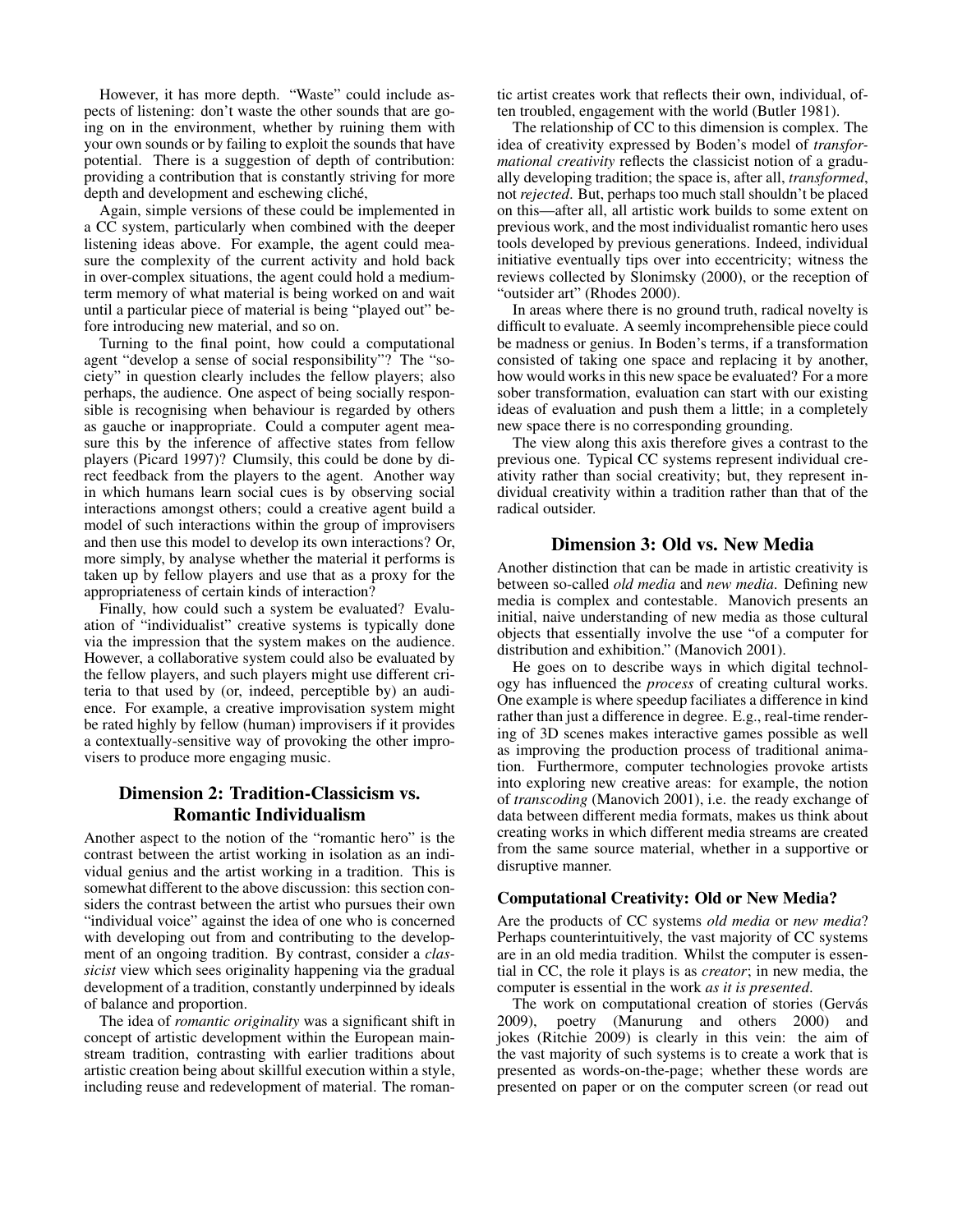However, it has more depth. "Waste" could include aspects of listening: don't waste the other sounds that are going on in the environment, whether by ruining them with your own sounds or by failing to exploit the sounds that have potential. There is a suggestion of depth of contribution: providing a contribution that is constantly striving for more depth and development and eschewing cliché,

Again, simple versions of these could be implemented in a CC system, particularly when combined with the deeper listening ideas above. For example, the agent could measure the complexity of the current activity and hold back in over-complex situations, the agent could hold a mediumterm memory of what material is being worked on and wait until a particular piece of material is being "played out" before introducing new material, and so on.

Turning to the final point, how could a computational agent "develop a sense of social responsibility"? The "society" in question clearly includes the fellow players; also perhaps, the audience. One aspect of being socially responsible is recognising when behaviour is regarded by others as gauche or inappropriate. Could a computer agent measure this by the inference of affective states from fellow players (Picard 1997)? Clumsily, this could be done by direct feedback from the players to the agent. Another way in which humans learn social cues is by observing social interactions amongst others; could a creative agent build a model of such interactions within the group of improvisers and then use this model to develop its own interactions? Or, more simply, by analyse whether the material it performs is taken up by fellow players and use that as a proxy for the appropriateness of certain kinds of interaction?

Finally, how could such a system be evaluated? Evaluation of "individualist" creative systems is typically done via the impression that the system makes on the audience. However, a collaborative system could also be evaluated by the fellow players, and such players might use different criteria to that used by (or, indeed, perceptible by) an audience. For example, a creative improvisation system might be rated highly by fellow (human) improvisers if it provides a contextually-sensitive way of provoking the other improvisers to produce more engaging music.

#### Dimension 2: Tradition-Classicism vs. Romantic Individualism

Another aspect to the notion of the "romantic hero" is the contrast between the artist working in isolation as an individual genius and the artist working in a tradition. This is somewhat different to the above discussion: this section considers the contrast between the artist who pursues their own "individual voice" against the idea of one who is concerned with developing out from and contributing to the development of an ongoing tradition. By contrast, consider a *classicist* view which sees originality happening via the gradual development of a tradition, constantly underpinned by ideals of balance and proportion.

The idea of *romantic originality* was a significant shift in concept of artistic development within the European mainstream tradition, contrasting with earlier traditions about artistic creation being about skillful execution within a style, including reuse and redevelopment of material. The roman-

tic artist creates work that reflects their own, individual, often troubled, engagement with the world (Butler 1981).

The relationship of CC to this dimension is complex. The idea of creativity expressed by Boden's model of *transformational creativity* reflects the classicist notion of a gradually developing tradition; the space is, after all, *transformed*, not *rejected*. But, perhaps too much stall shouldn't be placed on this—after all, all artistic work builds to some extent on previous work, and the most individualist romantic hero uses tools developed by previous generations. Indeed, individual initiative eventually tips over into eccentricity; witness the reviews collected by Slonimsky (2000), or the reception of "outsider art" (Rhodes 2000).

In areas where there is no ground truth, radical novelty is difficult to evaluate. A seemly incomprehensible piece could be madness or genius. In Boden's terms, if a transformation consisted of taking one space and replacing it by another, how would works in this new space be evaluated? For a more sober transformation, evaluation can start with our existing ideas of evaluation and push them a little; in a completely new space there is no corresponding grounding.

The view along this axis therefore gives a contrast to the previous one. Typical CC systems represent individual creativity rather than social creativity; but, they represent individual creativity within a tradition rather than that of the radical outsider.

#### Dimension 3: Old vs. New Media

Another distinction that can be made in artistic creativity is between so-called *old media* and *new media*. Defining new media is complex and contestable. Manovich presents an initial, naive understanding of new media as those cultural objects that essentially involve the use "of a computer for distribution and exhibition." (Manovich 2001).

He goes on to describe ways in which digital technology has influenced the *process* of creating cultural works. One example is where speedup faciliates a difference in kind rather than just a difference in degree. E.g., real-time rendering of 3D scenes makes interactive games possible as well as improving the production process of traditional animation. Furthermore, computer technologies provoke artists into exploring new creative areas: for example, the notion of *transcoding* (Manovich 2001), i.e. the ready exchange of data between different media formats, makes us think about creating works in which different media streams are created from the same source material, whether in a supportive or disruptive manner.

#### Computational Creativity: Old or New Media?

Are the products of CC systems *old media* or *new media*? Perhaps counterintuitively, the vast majority of CC systems are in an old media tradition. Whilst the computer is essential in CC, the role it plays is as *creator*; in new media, the computer is essential in the work *as it is presented*.

The work on computational creation of stories (Gervás 2009), poetry (Manurung and others 2000) and jokes (Ritchie 2009) is clearly in this vein: the aim of the vast majority of such systems is to create a work that is presented as words-on-the-page; whether these words are presented on paper or on the computer screen (or read out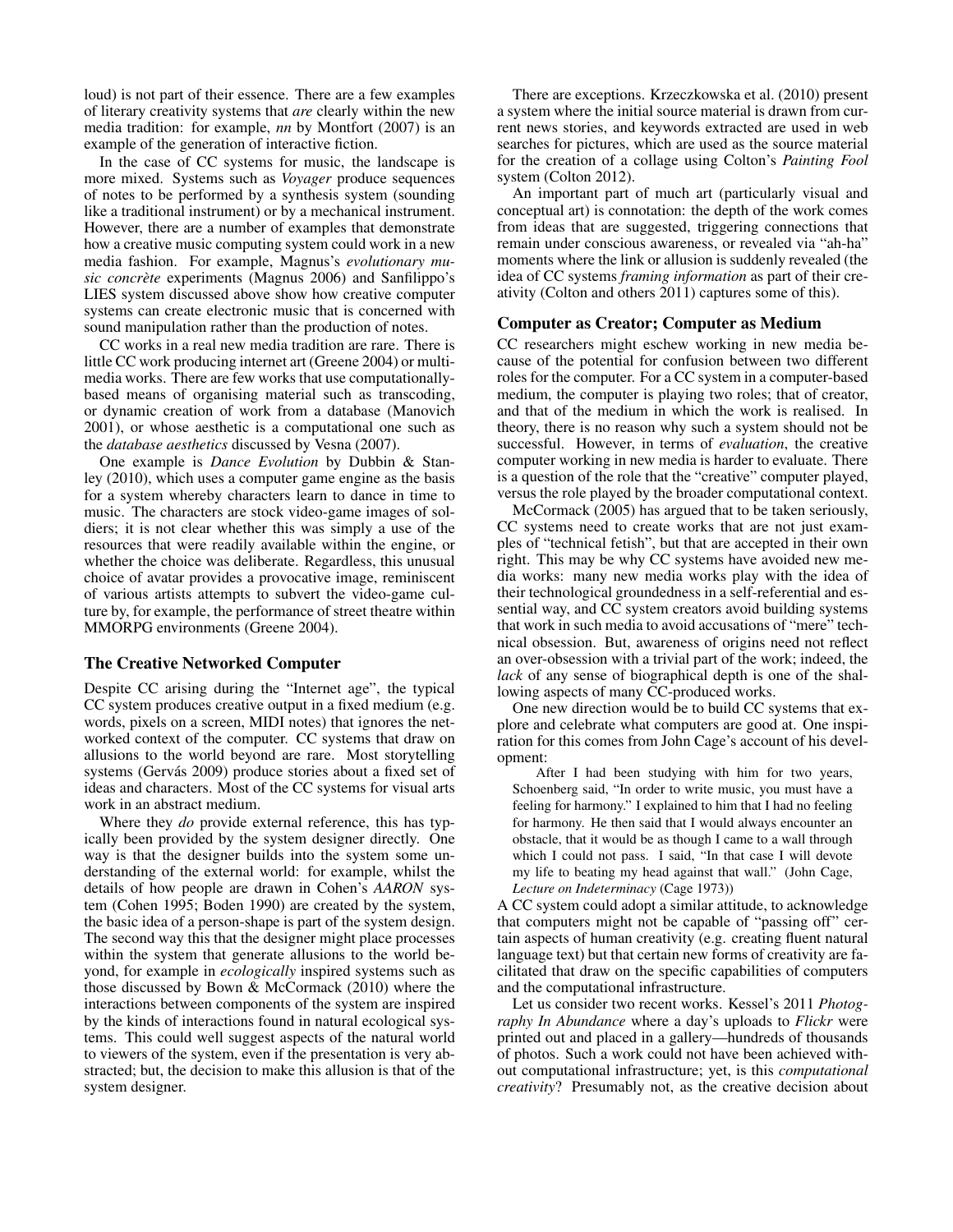loud) is not part of their essence. There are a few examples of literary creativity systems that *are* clearly within the new media tradition: for example, *nn* by Montfort (2007) is an example of the generation of interactive fiction.

In the case of CC systems for music, the landscape is more mixed. Systems such as *Voyager* produce sequences of notes to be performed by a synthesis system (sounding like a traditional instrument) or by a mechanical instrument. However, there are a number of examples that demonstrate how a creative music computing system could work in a new media fashion. For example, Magnus's *evolutionary music concrète* experiments (Magnus 2006) and Sanfilippo's LIES system discussed above show how creative computer systems can create electronic music that is concerned with sound manipulation rather than the production of notes.

CC works in a real new media tradition are rare. There is little CC work producing internet art (Greene 2004) or multimedia works. There are few works that use computationallybased means of organising material such as transcoding, or dynamic creation of work from a database (Manovich 2001), or whose aesthetic is a computational one such as the *database aesthetics* discussed by Vesna (2007).

One example is *Dance Evolution* by Dubbin & Stanley (2010), which uses a computer game engine as the basis for a system whereby characters learn to dance in time to music. The characters are stock video-game images of soldiers; it is not clear whether this was simply a use of the resources that were readily available within the engine, or whether the choice was deliberate. Regardless, this unusual choice of avatar provides a provocative image, reminiscent of various artists attempts to subvert the video-game culture by, for example, the performance of street theatre within MMORPG environments (Greene 2004).

#### The Creative Networked Computer

Despite CC arising during the "Internet age", the typical CC system produces creative output in a fixed medium (e.g. words, pixels on a screen, MIDI notes) that ignores the networked context of the computer. CC systems that draw on allusions to the world beyond are rare. Most storytelling systems (Gervás 2009) produce stories about a fixed set of ideas and characters. Most of the CC systems for visual arts work in an abstract medium.

Where they *do* provide external reference, this has typically been provided by the system designer directly. One way is that the designer builds into the system some understanding of the external world: for example, whilst the details of how people are drawn in Cohen's *AARON* system (Cohen 1995; Boden 1990) are created by the system, the basic idea of a person-shape is part of the system design. The second way this that the designer might place processes within the system that generate allusions to the world beyond, for example in *ecologically* inspired systems such as those discussed by Bown & McCormack (2010) where the interactions between components of the system are inspired by the kinds of interactions found in natural ecological systems. This could well suggest aspects of the natural world to viewers of the system, even if the presentation is very abstracted; but, the decision to make this allusion is that of the system designer.

There are exceptions. Krzeczkowska et al. (2010) present a system where the initial source material is drawn from current news stories, and keywords extracted are used in web searches for pictures, which are used as the source material for the creation of a collage using Colton's *Painting Fool* system (Colton 2012).

An important part of much art (particularly visual and conceptual art) is connotation: the depth of the work comes from ideas that are suggested, triggering connections that remain under conscious awareness, or revealed via "ah-ha" moments where the link or allusion is suddenly revealed (the idea of CC systems *framing information* as part of their creativity (Colton and others 2011) captures some of this).

#### Computer as Creator; Computer as Medium

CC researchers might eschew working in new media because of the potential for confusion between two different roles for the computer. For a CC system in a computer-based medium, the computer is playing two roles; that of creator, and that of the medium in which the work is realised. In theory, there is no reason why such a system should not be successful. However, in terms of *evaluation*, the creative computer working in new media is harder to evaluate. There is a question of the role that the "creative" computer played, versus the role played by the broader computational context.

McCormack (2005) has argued that to be taken seriously, CC systems need to create works that are not just examples of "technical fetish", but that are accepted in their own right. This may be why CC systems have avoided new media works: many new media works play with the idea of their technological groundedness in a self-referential and essential way, and CC system creators avoid building systems that work in such media to avoid accusations of "mere" technical obsession. But, awareness of origins need not reflect an over-obsession with a trivial part of the work; indeed, the *lack* of any sense of biographical depth is one of the shallowing aspects of many CC-produced works.

One new direction would be to build CC systems that explore and celebrate what computers are good at. One inspiration for this comes from John Cage's account of his development:

After I had been studying with him for two years, Schoenberg said, "In order to write music, you must have a feeling for harmony." I explained to him that I had no feeling for harmony. He then said that I would always encounter an obstacle, that it would be as though I came to a wall through which I could not pass. I said, "In that case I will devote my life to beating my head against that wall." (John Cage, *Lecture on Indeterminacy* (Cage 1973))

A CC system could adopt a similar attitude, to acknowledge that computers might not be capable of "passing off" certain aspects of human creativity (e.g. creating fluent natural language text) but that certain new forms of creativity are facilitated that draw on the specific capabilities of computers and the computational infrastructure.

Let us consider two recent works. Kessel's 2011 *Photography In Abundance* where a day's uploads to *Flickr* were printed out and placed in a gallery—hundreds of thousands of photos. Such a work could not have been achieved without computational infrastructure; yet, is this *computational creativity*? Presumably not, as the creative decision about